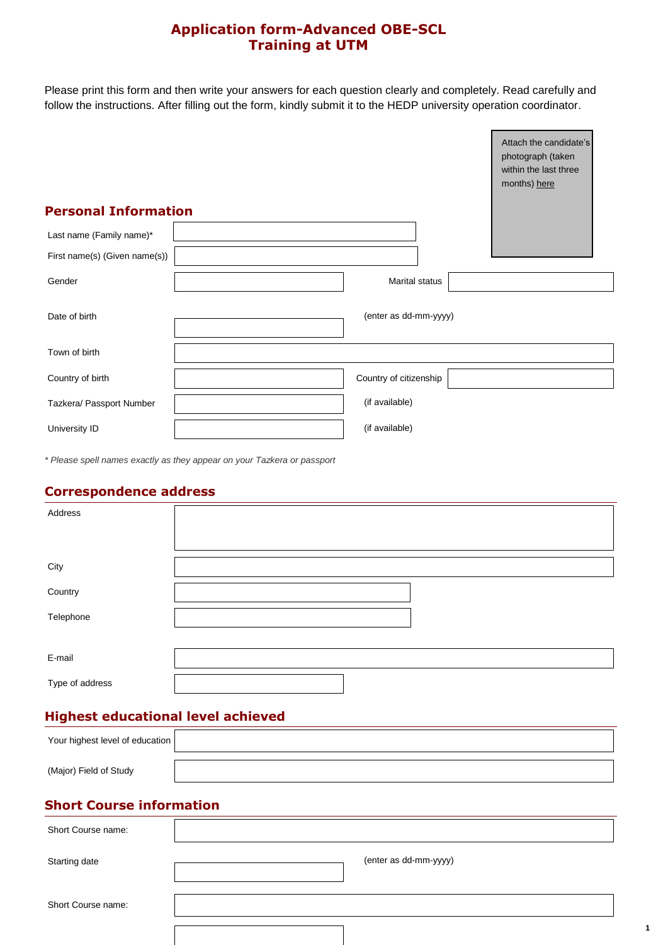## **Application form-Advanced OBE-SCL Training at UTM**

Please print this form and then write your answers for each question clearly and completely. Read carefully and follow the instructions. After filling out the form, kindly submit it to the HEDP university operation coordinator.

|                               | Attach the candidate's<br>photograph (taken<br>within the last three<br>months) here |
|-------------------------------|--------------------------------------------------------------------------------------|
| <b>Personal Information</b>   |                                                                                      |
| Last name (Family name)*      |                                                                                      |
| First name(s) (Given name(s)) |                                                                                      |
| Gender                        | <b>Marital status</b>                                                                |
| Date of birth                 | (enter as dd-mm-yyyy)                                                                |
| Town of birth                 |                                                                                      |
| Country of birth              | Country of citizenship                                                               |
| Tazkera/ Passport Number      | (if available)                                                                       |
| University ID                 | (if available)                                                                       |

*\* Please spell names exactly as they appear on your Tazkera or passport*

#### **Correspondence address**

| Address         |  |  |  |
|-----------------|--|--|--|
|                 |  |  |  |
| City            |  |  |  |
| Country         |  |  |  |
| Telephone       |  |  |  |
|                 |  |  |  |
| E-mail          |  |  |  |
| Type of address |  |  |  |

## **Highest educational level achieved**

| Your highest level of education |  |
|---------------------------------|--|
|                                 |  |
| (Major) Field of Study          |  |

### **Short Course information**

| Short Course name: |                       |
|--------------------|-----------------------|
|                    |                       |
| Starting date      | (enter as dd-mm-yyyy) |
|                    |                       |
|                    |                       |
| Short Course name: |                       |
|                    |                       |
|                    |                       |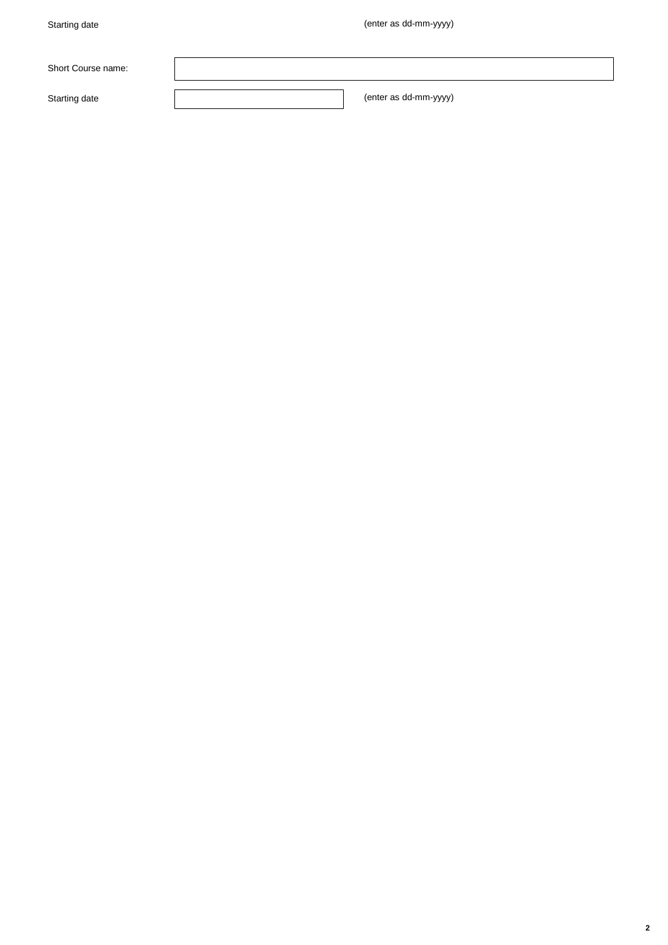| Short Course name: |                       |
|--------------------|-----------------------|
| Starting date      | (enter as dd-mm-yyyy) |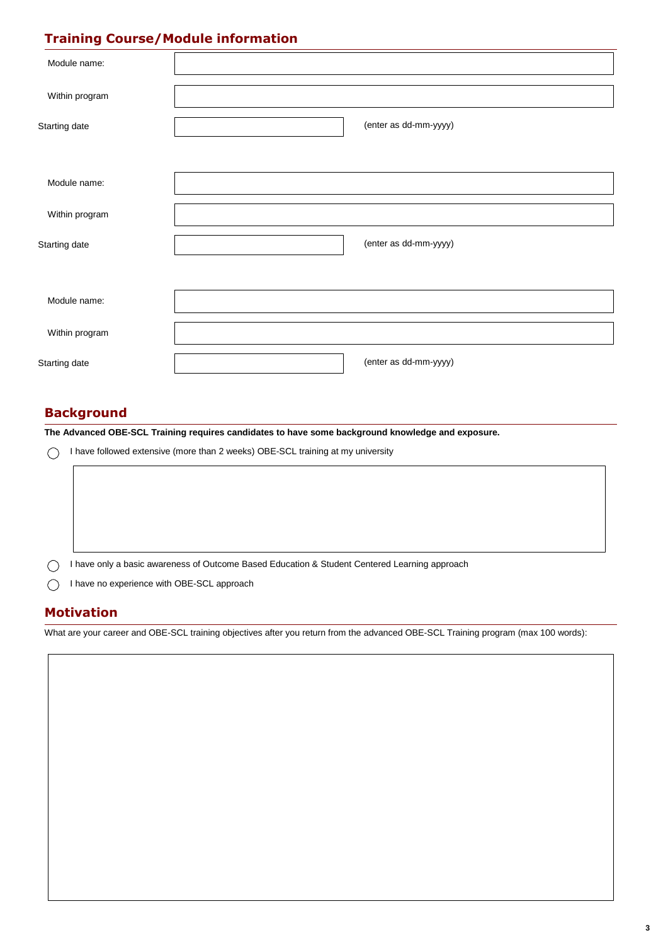# **Training Course/Module information**

| Module name:   |                       |
|----------------|-----------------------|
| Within program |                       |
| Starting date  | (enter as dd-mm-yyyy) |
|                |                       |
| Module name:   |                       |
| Within program |                       |
| Starting date  | (enter as dd-mm-yyyy) |
|                |                       |
| Module name:   |                       |
| Within program |                       |
| Starting date  | (enter as dd-mm-yyyy) |

## **Background**

**The Advanced OBE-SCL Training requires candidates to have some background knowledge and exposure.**

I have followed extensive (more than 2 weeks) OBE-SCL training at my university

| I have only a basic awareness of Outcome Based Education & Student Centered Learning approach |
|-----------------------------------------------------------------------------------------------|
| I have no experience with OBE-SCL approach                                                    |

### **Motivation**

What are your career and OBE-SCL training objectives after you return from the advanced OBE-SCL Training program (max 100 words):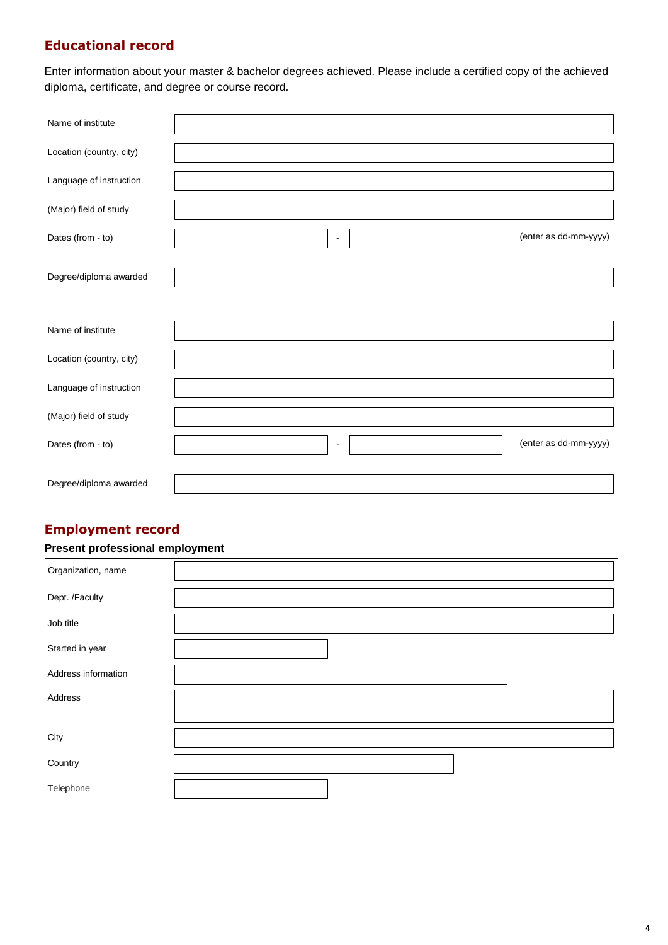## **Educational record**

Enter information about your master & bachelor degrees achieved. Please include a certified copy of the achieved diploma, certificate, and degree or course record.

| Name of institute        |                |                       |
|--------------------------|----------------|-----------------------|
| Location (country, city) |                |                       |
| Language of instruction  |                |                       |
| (Major) field of study   |                |                       |
| Dates (from - to)        | $\blacksquare$ | (enter as dd-mm-yyyy) |
| Degree/diploma awarded   |                |                       |
|                          |                |                       |
| Name of institute        |                |                       |
| Location (country, city) |                |                       |
| Language of instruction  |                |                       |
| (Major) field of study   |                |                       |
| Dates (from - to)        | $\blacksquare$ | (enter as dd-mm-yyyy) |
| Degree/diploma awarded   |                |                       |

## **Employment record**

| <b>Present professional employment</b> |  |  |  |
|----------------------------------------|--|--|--|
| Organization, name                     |  |  |  |
| Dept. /Faculty                         |  |  |  |
| Job title                              |  |  |  |
| Started in year                        |  |  |  |
| Address information                    |  |  |  |
| Address                                |  |  |  |
|                                        |  |  |  |
| City                                   |  |  |  |
| Country                                |  |  |  |
| Telephone                              |  |  |  |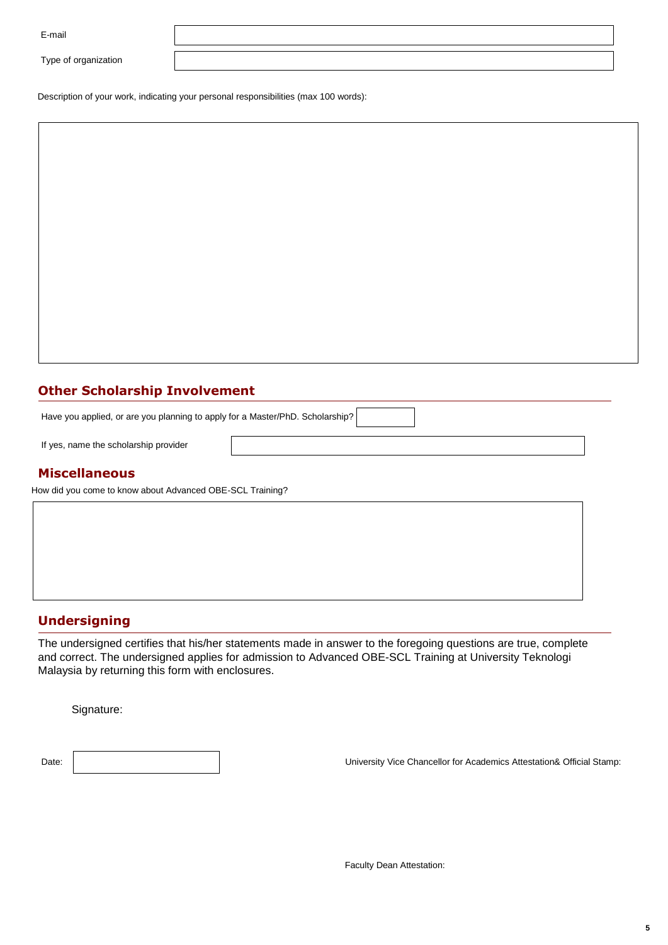Type of organization

Description of your work, indicating your personal responsibilities (max 100 words):

### **Other Scholarship Involvement**

Have you applied, or are you planning to apply for a Master/PhD. Scholarship?

If yes, name the scholarship provider

#### **Miscellaneous**

How did you come to know about Advanced OBE-SCL Training?

#### **Undersigning**

The undersigned certifies that his/her statements made in answer to the foregoing questions are true, complete and correct. The undersigned applies for admission to Advanced OBE-SCL Training at University Teknologi Malaysia by returning this form with enclosures.

Signature:

Date: University Vice Chancellor for Academics Attestation& Official Stamp: Date: